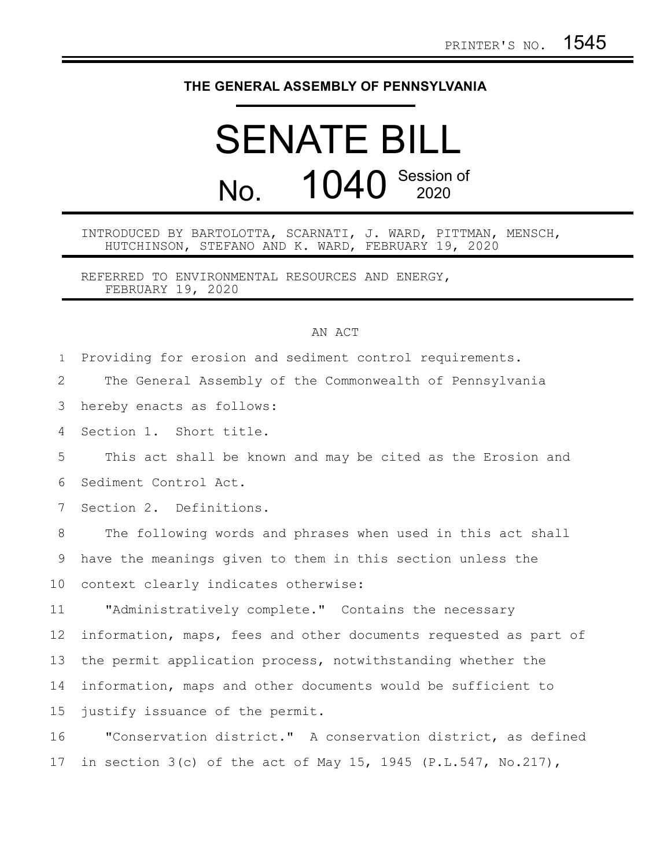## **THE GENERAL ASSEMBLY OF PENNSYLVANIA**

## SENATE BILL No. 1040 Session of

## INTRODUCED BY BARTOLOTTA, SCARNATI, J. WARD, PITTMAN, MENSCH, HUTCHINSON, STEFANO AND K. WARD, FEBRUARY 19, 2020

REFERRED TO ENVIRONMENTAL RESOURCES AND ENERGY, FEBRUARY 19, 2020

## AN ACT

Providing for erosion and sediment control requirements. The General Assembly of the Commonwealth of Pennsylvania hereby enacts as follows: Section 1. Short title. This act shall be known and may be cited as the Erosion and Sediment Control Act. Section 2. Definitions. The following words and phrases when used in this act shall have the meanings given to them in this section unless the context clearly indicates otherwise: "Administratively complete." Contains the necessary information, maps, fees and other documents requested as part of the permit application process, notwithstanding whether the information, maps and other documents would be sufficient to justify issuance of the permit. 1 2 3 4 5 6 7 8 9 10 11 12 13 14 15

"Conservation district." A conservation district, as defined in section  $3(c)$  of the act of May 15, 1945 (P.L.547, No.217), 16 17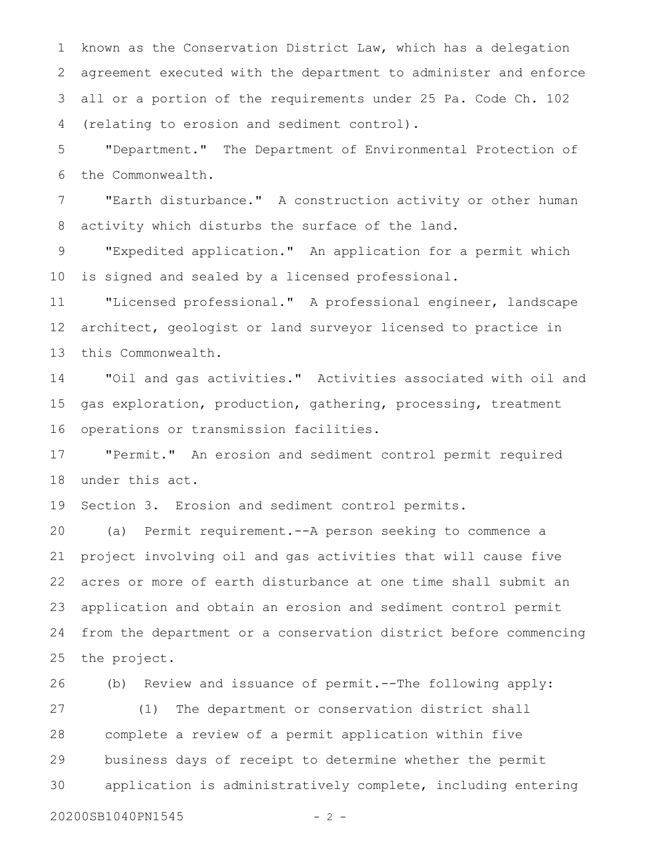known as the Conservation District Law, which has a delegation agreement executed with the department to administer and enforce all or a portion of the requirements under 25 Pa. Code Ch. 102 (relating to erosion and sediment control). 1 2 3 4

"Department." The Department of Environmental Protection of the Commonwealth. 5 6

"Earth disturbance." A construction activity or other human activity which disturbs the surface of the land. 7 8

"Expedited application." An application for a permit which is signed and sealed by a licensed professional. 9 10

"Licensed professional." A professional engineer, landscape architect, geologist or land surveyor licensed to practice in this Commonwealth. 11 12 13

"Oil and gas activities." Activities associated with oil and gas exploration, production, gathering, processing, treatment operations or transmission facilities. 14 15 16

"Permit." An erosion and sediment control permit required under this act. 17 18

Section 3. Erosion and sediment control permits. 19

(a) Permit requirement.--A person seeking to commence a project involving oil and gas activities that will cause five acres or more of earth disturbance at one time shall submit an application and obtain an erosion and sediment control permit from the department or a conservation district before commencing the project. 20 21 22 23 24 25

(b) Review and issuance of permit.--The following apply: (1) The department or conservation district shall complete a review of a permit application within five business days of receipt to determine whether the permit application is administratively complete, including entering 26 27 28 29 30

20200SB1040PN1545 - 2 -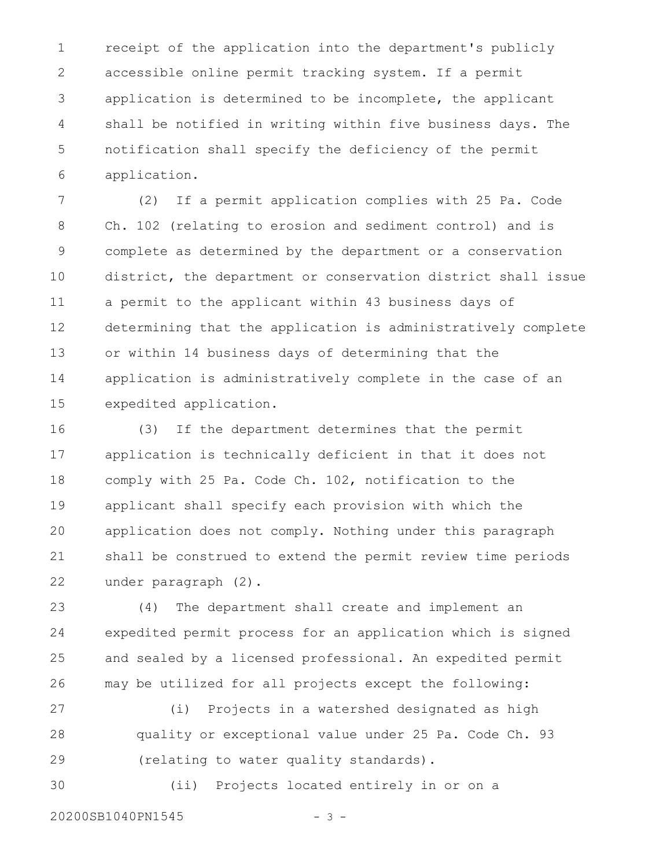receipt of the application into the department's publicly accessible online permit tracking system. If a permit application is determined to be incomplete, the applicant shall be notified in writing within five business days. The notification shall specify the deficiency of the permit application. 1 2 3 4 5 6

(2) If a permit application complies with 25 Pa. Code Ch. 102 (relating to erosion and sediment control) and is complete as determined by the department or a conservation district, the department or conservation district shall issue a permit to the applicant within 43 business days of determining that the application is administratively complete or within 14 business days of determining that the application is administratively complete in the case of an expedited application. 7 8 9 10 11 12 13 14 15

(3) If the department determines that the permit application is technically deficient in that it does not comply with 25 Pa. Code Ch. 102, notification to the applicant shall specify each provision with which the application does not comply. Nothing under this paragraph shall be construed to extend the permit review time periods under paragraph (2). 16 17 18 19 20 21 22

(4) The department shall create and implement an expedited permit process for an application which is signed and sealed by a licensed professional. An expedited permit may be utilized for all projects except the following: 23 24 25 26

(i) Projects in a watershed designated as high quality or exceptional value under 25 Pa. Code Ch. 93 (relating to water quality standards). 27 28 29

(ii) Projects located entirely in or on a 30

20200SB1040PN1545 - 3 -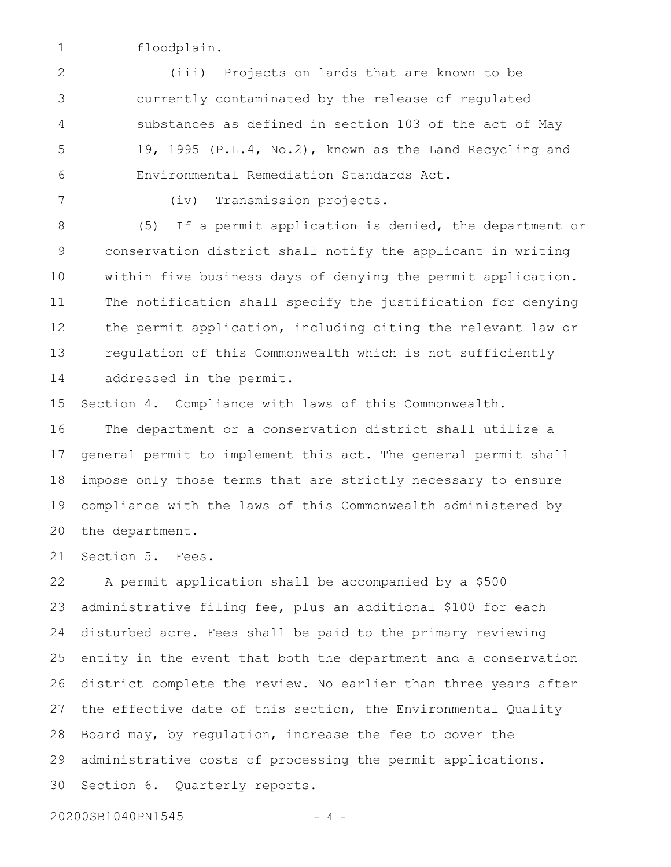floodplain. 1

(iii) Projects on lands that are known to be currently contaminated by the release of regulated substances as defined in section 103 of the act of May 19, 1995 (P.L.4, No.2), known as the Land Recycling and Environmental Remediation Standards Act. 2 3 4 5 6

7

(iv) Transmission projects.

(5) If a permit application is denied, the department or conservation district shall notify the applicant in writing within five business days of denying the permit application. The notification shall specify the justification for denying the permit application, including citing the relevant law or regulation of this Commonwealth which is not sufficiently addressed in the permit. 8 9 10 11 12 13 14

Section 4. Compliance with laws of this Commonwealth. The department or a conservation district shall utilize a general permit to implement this act. The general permit shall impose only those terms that are strictly necessary to ensure compliance with the laws of this Commonwealth administered by the department. 15 16 17 18 19 20

Section 5. Fees. 21

A permit application shall be accompanied by a \$500 administrative filing fee, plus an additional \$100 for each disturbed acre. Fees shall be paid to the primary reviewing entity in the event that both the department and a conservation district complete the review. No earlier than three years after the effective date of this section, the Environmental Quality Board may, by regulation, increase the fee to cover the administrative costs of processing the permit applications. Section 6. Quarterly reports. 22 23 24 25 26 27 28 29 30

20200SB1040PN1545 - 4 -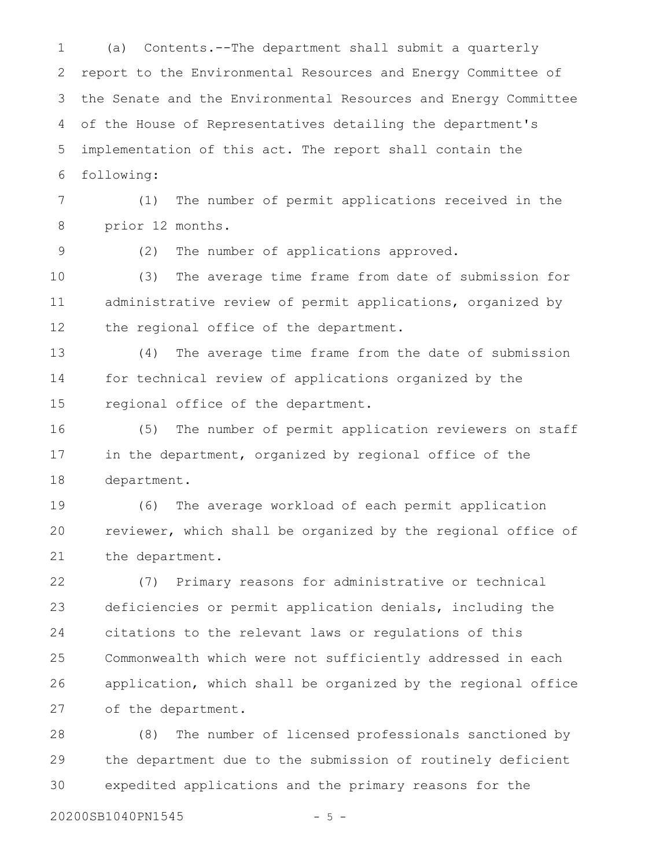(a) Contents.--The department shall submit a quarterly report to the Environmental Resources and Energy Committee of the Senate and the Environmental Resources and Energy Committee of the House of Representatives detailing the department's implementation of this act. The report shall contain the following: 1 2 3 4 5 6

(1) The number of permit applications received in the prior 12 months. 7 8

9

(2) The number of applications approved.

(3) The average time frame from date of submission for administrative review of permit applications, organized by the regional office of the department. 10 11 12

(4) The average time frame from the date of submission for technical review of applications organized by the regional office of the department. 13 14 15

(5) The number of permit application reviewers on staff in the department, organized by regional office of the department. 16 17 18

(6) The average workload of each permit application reviewer, which shall be organized by the regional office of the department. 19 20 21

(7) Primary reasons for administrative or technical deficiencies or permit application denials, including the citations to the relevant laws or regulations of this Commonwealth which were not sufficiently addressed in each application, which shall be organized by the regional office of the department. 22 23 24 25 26 27

(8) The number of licensed professionals sanctioned by the department due to the submission of routinely deficient expedited applications and the primary reasons for the 28 29 30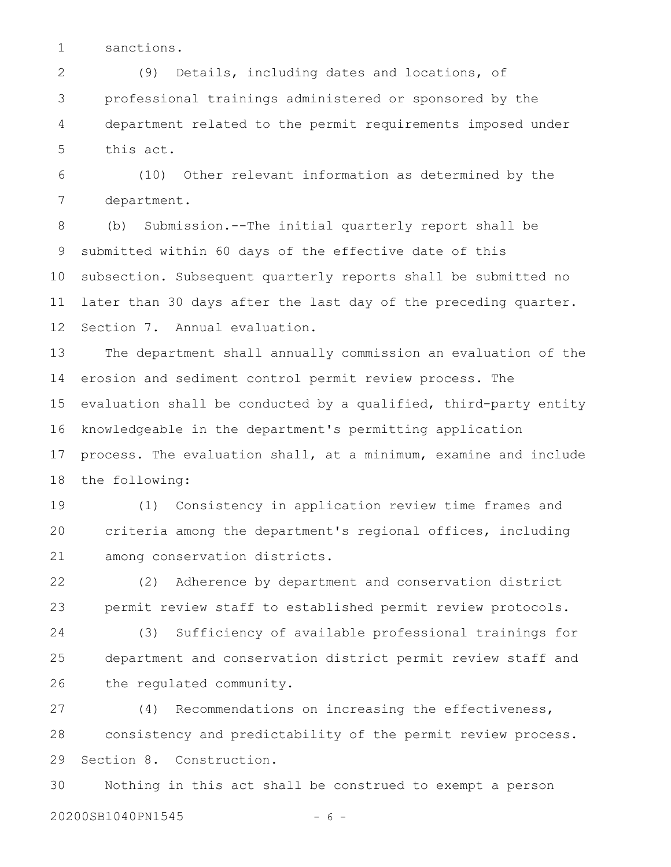sanctions. 1

(9) Details, including dates and locations, of professional trainings administered or sponsored by the department related to the permit requirements imposed under this act. 2 3 4 5

(10) Other relevant information as determined by the department. 6 7

(b) Submission.--The initial quarterly report shall be submitted within 60 days of the effective date of this subsection. Subsequent quarterly reports shall be submitted no later than 30 days after the last day of the preceding quarter. Section 7. Annual evaluation. 8 9 10 11 12

The department shall annually commission an evaluation of the erosion and sediment control permit review process. The evaluation shall be conducted by a qualified, third-party entity knowledgeable in the department's permitting application process. The evaluation shall, at a minimum, examine and include the following: 13 14 15 16 17 18

(1) Consistency in application review time frames and criteria among the department's regional offices, including among conservation districts. 19 20 21

(2) Adherence by department and conservation district permit review staff to established permit review protocols. 22 23

(3) Sufficiency of available professional trainings for department and conservation district permit review staff and the regulated community. 24 25 26

(4) Recommendations on increasing the effectiveness, consistency and predictability of the permit review process. Section 8. Construction. 27 28 29

Nothing in this act shall be construed to exempt a person 20200SB1040PN1545 - 6 -30